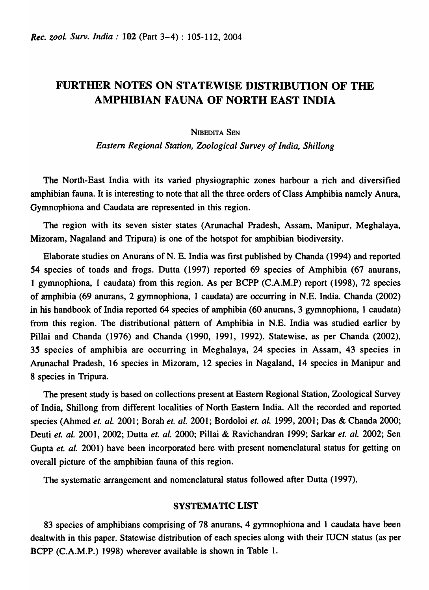# FURTHER NOTES ON STATEWISE DISTRIBUTION OF THE AMPHIBIAN FAUNA OF NORTH EAST INDIA

## **NIBEDITA SEN**

*Eastern Regional Station, Zoological Survey of India, Shiliong* 

The North-East India with its varied physiographic zones harbour a rich and diversified amphibian fauna. It is interesting to note that all the three orders of Class Amphibia namely Anura, Gymnophiona and Caudata are represented in this region.

The region with its seven sister states (Arunachal Pradesh, Assam, Manipur, Meghalaya, Mizoram, Nagaland and Tripura) is one of the hotspot for amphibian biodiversity.

Elaborate studies on Anurans of N. E. India was first published by Chanda (1994) and reported 54 species of toads and frogs. Dutta (1997) reported 69 species of Amphibia (67 anurans, 1 gymnophiona, 1 caudata) from this region. As per BCPP (C.A.M.P) report (1998), 72 species of amphibia (69 anurans, 2 gymnophiona, 1 caudata) are occurring in N.E. India. Chanda (2002) in his handbook of India reported 64 species of amphibia (60 anurans, 3 gymnophiona, 1 caudata) from this region. The distributional pattern of Amphibia in N.E. India was studied earlier by Pillai and Chanda (1976) and Chanda (1990, 1991, 1992). Statewise, as per Chanda (2002), 35 species of amphibia are occurring in Meghalaya, 24 species in Assam, 43 species in Arunachal Pradesh, 16 species in Mizoram, 12 species in Nagaland, 14 species in Manipur and 8 species in Tripura.

The present study is based on collections present at Eastern Regional Station, Zoological Survey of India, Shillong from different localities of North Eastern India. All the recorded and reported species (Ahmed *et. al.* 2001; Borah *et. al.* 2001; Bordoloi *et. al.* 1999, 2001; Das & Chanda 2000; Deuti et. al. 2001, 2002; Dutta et. al. 2000; Pillai & Ravichandran 1999; Sarkar et. al. 2002; Sen Gupta et. al. 2001) have been incorporated here with present nomenclatural status for getting on overall picture of the amphibian fauna of this region.

The systematic arrangement and nomenclatural status followed after Dutta (1997).

## SYSTEMATIC LIST

83 species of amphibians comprising of 78 anurans, 4 gymnophiona and 1 caudata have been dealtwith in this paper. Statewise distribution of each species along with their IUCN status (as per BCPP (C.A.M.P.) 1998) wherever available is shown in Table 1.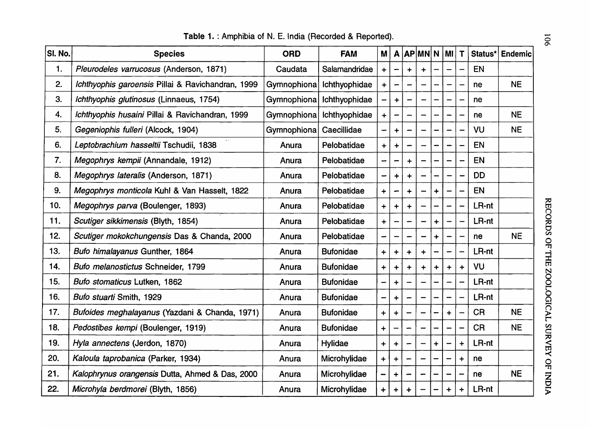| SI. No. | <b>Species</b>                                    | <b>ORD</b>  | <b>FAM</b>       | M                    |           |           | $A$ $AP$ $MN$ $N$ |           | MI                   | T                    | Status*   | <b>Endemic</b> |
|---------|---------------------------------------------------|-------------|------------------|----------------------|-----------|-----------|-------------------|-----------|----------------------|----------------------|-----------|----------------|
| 1.      | Pleurodeles varrucosus (Anderson, 1871)           | Caudata     | Salamandridae    | $\ddot{}$            |           | $\div$    |                   |           |                      |                      | EN        |                |
| 2.      | Ichthyophis garoensis Pillai & Ravichandran, 1999 | Gymnophiona | Ichthyophidae    | $\div$               |           |           |                   |           |                      |                      | ne        | <b>NE</b>      |
| 3.      | Ichthyophis glutinosus (Linnaeus, 1754)           | Gymnophiona | Ichthyophidae    |                      | $\ddot{}$ |           |                   |           | $\qquad \qquad$      |                      | ne        |                |
| 4.      | Ichthyophis husaini Pillai & Ravichandran, 1999   | Gymnophiona | Ichthyophidae    | $\ddot{}$            |           |           |                   |           |                      |                      | ne        | <b>NE</b>      |
| 5.      | Gegeniophis fulleri (Alcock, 1904)                | Gymnophiona | Caecillidae      |                      | $\ddot{}$ |           |                   |           |                      |                      | VU        | <b>NE</b>      |
| 6.      | Leptobrachium hasseltii Tschudii, 1838            | Anura       | Pelobatidae      | $\ddot{}$            | +         |           |                   |           | -                    |                      | EN        |                |
| 7.      | Megophrys kempii (Annandale, 1912)                | Anura       | Pelobatidae      |                      |           | $\ddot{}$ |                   |           | $\qquad \qquad$      |                      | <b>EN</b> |                |
| 8.      | Megophrys lateralis (Anderson, 1871)              | Anura       | Pelobatidae      | ÷                    | +         | $\ddot{}$ |                   |           |                      |                      | <b>DD</b> |                |
| 9.      | Megophrys monticola Kuhl & Van Hasselt, 1822      | Anura       | Pelobatidae      | $\ddot{}$            |           | $\ddot{}$ |                   | $\ddag$   |                      |                      | <b>EN</b> |                |
| 10.     | Megophrys parva (Boulenger, 1893)                 | Anura       | Pelobatidae      | $\ddot{\phantom{1}}$ | $\div$    |           |                   |           |                      |                      | LR-nt     |                |
| 11.     | Scutiger sikkimensis (Blyth, 1854)                | Anura       | Pelobatidae      | $\ddot{\phantom{1}}$ |           |           |                   | $\ddot{}$ | $\qquad \qquad$      |                      | LR-nt     |                |
| 12.     | Scutiger mokokchungensis Das & Chanda, 2000       | Anura       | Pelobatidae      |                      |           |           |                   | ┿         |                      |                      | ne        | <b>NE</b>      |
| 13.     | Bufo himalayanus Gunther, 1864                    | Anura       | <b>Bufonidae</b> | $\ddot{}$            | +         | $\ddot{}$ | $\ddag$           |           |                      |                      | LR-nt     |                |
| 14.     | Bufo melanostictus Schneider, 1799                | Anura       | <b>Bufonidae</b> | $\div$               | ┿         | $\ddot{}$ | $\ddot{}$         | $\ddot{}$ | $\ddot{}$            | $\ddot{}$            | VU        |                |
| 15.     | Bufo stomaticus Lutken, 1862                      | Anura       | <b>Bufonidae</b> | -                    | $\ddag$   |           |                   |           |                      |                      | LR-nt     |                |
| 16.     | Bufo stuarti Smith, 1929                          | Anura       | <b>Bufonidae</b> | -                    | $\ddot{}$ |           |                   |           | -                    |                      | LR-nt     |                |
| 17.     | Bufoides meghalayanus (Yazdani & Chanda, 1971)    | Anura       | <b>Bufonidae</b> | $\ddot{}$            | $\div$    |           |                   |           | $\ddot{\phantom{1}}$ |                      | <b>CR</b> | <b>NE</b>      |
| 18.     | Pedostibes kempi (Boulenger, 1919)                | Anura       | <b>Bufonidae</b> | $\ddot{}$            |           |           |                   |           |                      |                      | <b>CR</b> | <b>NE</b>      |
| 19.     | Hyla annectens (Jerdon, 1870)                     | Anura       | Hylidae          | $\ddot{}$            | $\div$    |           | —                 | $\ddag$   |                      | $\ddot{}$            | LR-nt     |                |
| 20.     | Kaloula taprobanica (Parker, 1934)                | Anura       | Microhylidae     | $\ddot{}$            | +         |           |                   |           | $\qquad \qquad$      | $\div$               | ne        |                |
| 21.     | Kalophrynus orangensis Dutta, Ahmed & Das, 2000   | Anura       | Microhylidae     |                      | $\div$    |           |                   |           |                      |                      | ne        | <b>NE</b>      |
| 22.     | Microhyla berdmorei (Blyth, 1856)                 | Anura       | Microhylidae     | $\ddot{}$            | $\div$    | $\ddot{}$ |                   |           | $\ddag$              | $\ddot{\phantom{1}}$ | LR-nt     |                |

Table 1. : Amphibia of N. E. India (Recorded & Reported).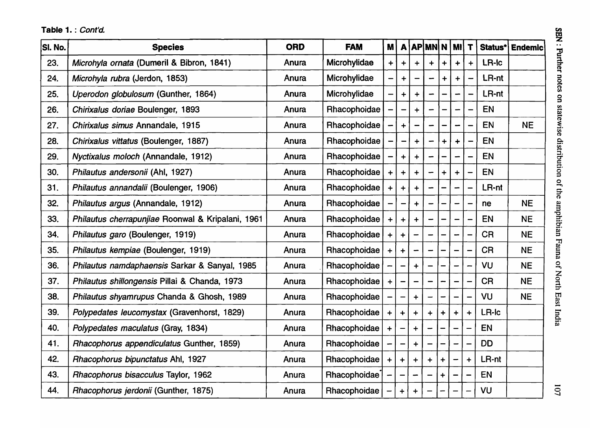| SI. No. | <b>Species</b>                                    | <b>ORD</b> | <b>FAM</b>          | <b>M</b>                     |             |                      | $A$ $AP$ $NN$ $N$ $N$ $N$ $T$ |             |           |                          | Status*   | Endemic   |
|---------|---------------------------------------------------|------------|---------------------|------------------------------|-------------|----------------------|-------------------------------|-------------|-----------|--------------------------|-----------|-----------|
| 23.     | Microhyla ornata (Dumeril & Bibron, 1841)         | Anura      | Microhylidae        | $+$                          | $\ddot{}$   | $\ddot{\phantom{1}}$ | $\ddot{}$                     | $\ddotmark$ | ┿         | $\ddot{}$                | LR-Ic     |           |
| 24.     | Microhyla rubra (Jerdon, 1853)                    | Anura      | Microhylidae        | $\qquad \qquad \blacksquare$ | ┿           |                      |                               |             |           |                          | LR-nt     |           |
| 25.     | Uperodon globulosum (Gunther, 1864)               | Anura      | Microhylidae        | $\overline{\phantom{m}}$     | $\ddot{}$   |                      |                               |             |           |                          | LR-nt     |           |
| 26.     | Chirixalus doriae Boulenger, 1893                 | Anura      | Rhacophoidae        |                              |             | $\ddot{}$            |                               |             |           |                          | <b>EN</b> |           |
| 27.     | Chirixalus simus Annandale, 1915                  | Anura      | Rhacophoidae        |                              | $\ddotmark$ |                      |                               |             |           |                          | <b>EN</b> | <b>NE</b> |
| 28.     | Chirixalus vittatus (Boulenger, 1887)             | Anura      | Rhacophoidae        |                              |             | $\ddot{+}$           |                               |             | $\ddot{}$ |                          | <b>EN</b> |           |
| 29.     | Nyctixalus moloch (Annandale, 1912)               | Anura      | Rhacophoidae        |                              | $+$         |                      |                               |             | -         |                          | <b>EN</b> |           |
| 30.     | Philautus andersonii (Ahl, 1927)                  | Anura      | Rhacophoidae        | $+$                          | $+$         | $\ddot{+}$           |                               | $\ddot{}$   | $\ddot{}$ |                          | EN        |           |
| 31.     | Philautus annandalii (Boulenger, 1906)            | Anura      | <b>Rhacophoidae</b> | $+$                          | $+$         |                      |                               |             |           |                          | LR-nt     |           |
| 32.     | Philautus argus (Annandale, 1912)                 | Anura      | Rhacophoidae        |                              |             |                      |                               |             |           |                          | ne        | <b>NE</b> |
| 33.     | Philautus cherrapunjiae Roonwal & Kripalani, 1961 | Anura      | Rhacophoidae        | $+$                          | $+$         |                      |                               |             |           |                          | EN        | <b>NE</b> |
| 34.     | Philautus garo (Boulenger, 1919)                  | Anura      | Rhacophoidae        | $+$                          | $\ddotmark$ |                      |                               |             |           |                          | <b>CR</b> | <b>NE</b> |
| 35.     | Philautus kempiae (Boulenger, 1919)               | Anura      | Rhacophoidae        | $+$                          | $\div$      |                      |                               |             |           |                          | <b>CR</b> | <b>NE</b> |
| 36.     | Philautus namdaphaensis Sarkar & Sanyal, 1985     | Anura      | Rhacophoidae        |                              |             |                      |                               |             |           |                          | VU        | <b>NE</b> |
| 37.     | Philautus shillongensis Pillai & Chanda, 1973     | Anura      | Rhacophoidae        | $+$                          |             |                      |                               |             |           |                          | <b>CR</b> | <b>NE</b> |
| 38.     | Philautus shyamrupus Chanda & Ghosh, 1989         | Anura      | Rhacophoidae        |                              |             |                      |                               |             |           |                          | VU        | <b>NE</b> |
| 39.     | Polypedates leucomystax (Gravenhorst, 1829)       | Anura      | Rhacophoidae        | $+$                          | $+$         | $\ddotmark$          | $+$                           | $\ddot{+}$  | $\div$    | $\ddot{+}$               | LR-Ic     |           |
| 40.     | Polypedates maculatus (Gray, 1834)                | Anura      | Rhacophoidae        | $\pm$                        |             |                      |                               |             |           |                          | EN        |           |
| 41.     | Rhacophorus appendiculatus Gunther, 1859)         | Anura      | Rhacophoidae        |                              |             | $\ddot{}$            |                               |             |           | -                        | <b>DD</b> |           |
| 42.     | Rhacophorus bipunctatus Ahl, 1927                 | Anura      | Rhacophoidae        | $+$                          | $+$         |                      |                               |             |           | $\ddot{}$                | LR-nt     |           |
| 43.     | Rhacophorus bisacculus Taylor, 1962               | Anura      | Rhacophoidae        |                              |             |                      |                               | $\div$      |           |                          | EN        |           |
| 44.     | Rhacophorus jerdonii (Gunther, 1875)              | Anura      | Rhacophoidae        |                              | $+$         | $\ddag$              |                               |             |           | $\overline{\phantom{0}}$ | VU        |           |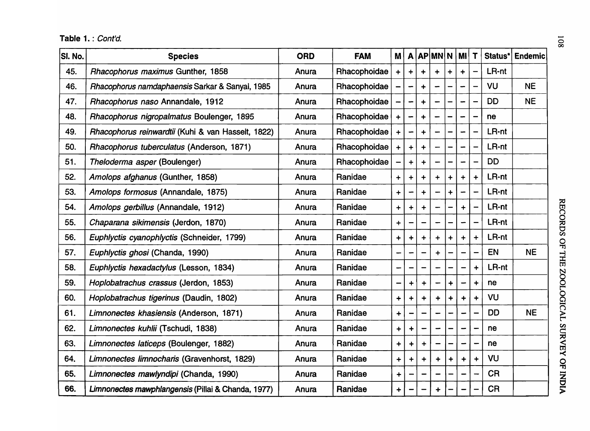Table 1. : Cont'd.  $\overline{\mathbb{Q}}$ 

| SI. No. | <b>Species</b>                                     | <b>ORD</b> | <b>FAM</b>   | M                                                                  |                          |                 | $A$ $AP$ $MN$ $N$ $M$ |           |                                                                     | T                                                                  |           | Status*   Endemic |
|---------|----------------------------------------------------|------------|--------------|--------------------------------------------------------------------|--------------------------|-----------------|-----------------------|-----------|---------------------------------------------------------------------|--------------------------------------------------------------------|-----------|-------------------|
| 45.     | Rhacophorus maximus Gunther, 1858                  | Anura      | Rhacophoidae | $\div$                                                             | $\ddot{}$                |                 |                       | $\div$    | $\ddot{}$                                                           | $\overline{\phantom{0}}$                                           | LR-nt     |                   |
| 46.     | Rhacophorus namdaphaensis Sarkar & Sanyal, 1985    | Anura      | Rhacophoidae |                                                                    |                          | $\div$          |                       |           |                                                                     |                                                                    | VU        | <b>NE</b>         |
| 47.     | Rhacophorus naso Annandale, 1912                   | Anura      | Rhacophoidae |                                                                    | $\overline{\phantom{0}}$ | $\ddot{}$       |                       |           | -                                                                   | —                                                                  | <b>DD</b> | <b>NE</b>         |
| 48.     | Rhacophorus nigropalmatus Boulenger, 1895          | Anura      | Rhacophoidae | $\ddot{}$                                                          |                          | $\ddot{}$       |                       |           |                                                                     |                                                                    | ne        |                   |
| 49.     | Rhacophorus reinwardtii (Kuhi & van Hasselt, 1822) | Anura      | Rhacophoidae | $\ddotmark$                                                        |                          | $\div$          |                       |           |                                                                     |                                                                    | LR-nt     |                   |
| 50.     | Rhacophorus tuberculatus (Anderson, 1871)          | Anura      | Rhacophoidae | $\ddot{}$                                                          | $\ddot{}$                | $\ddot{}$       |                       |           | -                                                                   |                                                                    | LR-nt     |                   |
| 51.     | Theloderma asper (Boulenger)                       | Anura      | Rhacophoidae |                                                                    | $\ddot{}$                | $\ddot{}$       |                       |           | $\overline{\phantom{0}}$                                            | $\overline{\phantom{0}}$                                           | <b>DD</b> |                   |
| 52.     | Amolops afghanus (Gunther, 1858)                   | Anura      | Ranidae      | $+$                                                                | $\ddag$                  | $\ddot{}$       | $\ddot{}$             | $\ddot{}$ | $\ddot{}$                                                           | $\ddotmark$                                                        | LR-nt     |                   |
| 53.     | Amolops formosus (Annandale, 1875)                 | Anura      | Ranidae      | $\ddot{}$                                                          |                          | $\div$          |                       | $\ddot{}$ |                                                                     |                                                                    | LR-nt     |                   |
| 54.     | Amolops gerbillus (Annandale, 1912)                | Anura      | Ranidae      | $\div$                                                             | $\ddot{}$                | $\div$          |                       |           | $\ddot{}$                                                           |                                                                    | LR-nt     |                   |
| 55.     | Chaparana sikimensis (Jerdon, 1870)                | Anura      | Ranidae      | $\ddot{}$                                                          |                          |                 |                       |           | $\overline{\phantom{0}}$                                            | $\overline{\phantom{0}}$                                           | LR-nt     |                   |
| 56.     | Euphlyctis cyanophlyctis (Schneider, 1799)         | Anura      | Ranidae      | $\ddagger$                                                         | +                        | $\ddot{}$       | $\ddagger$            | $\ddag$   | $\ddot{}$                                                           | $\ddot{\phantom{1}}$                                               | LR-nt     |                   |
| 57.     | Euphlyctis ghosi (Chanda, 1990)                    | Anura      | Ranidae      |                                                                    |                          |                 | $\ddot{}$             |           |                                                                     |                                                                    | EN        | <b>NE</b>         |
| 58.     | Euphlyctis hexadactylus (Lesson, 1834)             | Anura      | Ranidae      |                                                                    |                          |                 |                       |           | -                                                                   | $\ddot{}$                                                          | LR-nt     |                   |
| 59.     | Hoplobatrachus crassus (Jerdon, 1853)              | Anura      | Ranidae      |                                                                    | $\ddot{}$                | $\ddot{}$       |                       | $\ddag$   | -                                                                   | $\ddot{}$                                                          | ne        |                   |
| 60.     | Hoplobatrachus tigerinus (Daudin, 1802)            | Anura      | Ranidae      | $\ddot{}$                                                          | $\div$                   | $\ddot{}$       | $\ddot{}$             | $\ddot{}$ | $\begin{array}{c} \color{red} \textbf{+} \color{black} \end{array}$ | $\div$                                                             | VU        |                   |
| 61.     | Limnonectes khasiensis (Anderson, 1871)            | Anura      | Ranidae      | $\ddag$                                                            |                          |                 |                       |           |                                                                     |                                                                    | <b>DD</b> | <b>NE</b>         |
| 62.     | Limnonectes kuhlii (Tschudi, 1838)                 | Anura      | Ranidae      | $\begin{array}{c} \color{red} \textbf{+} \color{blue} \end{array}$ | ┿                        |                 |                       |           | $\overline{\phantom{0}}$                                            |                                                                    | ne        |                   |
| 63.     | Limnonectes laticeps (Boulenger, 1882)             | Anura      | Ranidae      | $\ddot{}$                                                          | $\ddot{}$                | $\div$          |                       |           | -                                                                   |                                                                    | ne        |                   |
| 64.     | Limnonectes limnocharis (Gravenhorst, 1829)        | Anura      | Ranidae      | $\ddot{}$                                                          | $\ddot{}$                | $\div$          | $\ddot{}$             | $\ddag$   | $\ddot{}$                                                           | $\begin{array}{c} \color{red} \textbf{+} \color{blue} \end{array}$ | <b>VU</b> |                   |
| 65.     | Limnonectes mawlyndipi (Chanda, 1990)              | Anura      | Ranidae      | $\ddot{}$                                                          |                          |                 |                       |           |                                                                     |                                                                    | <b>CR</b> |                   |
| 66.     | Limnonectes mawphlangensis (Pillai & Chanda, 1977) | Anura      | Ranidae      | $\ddot{}$                                                          |                          | $\qquad \qquad$ | $\ddot{}$             | —         | -                                                                   |                                                                    | <b>CR</b> |                   |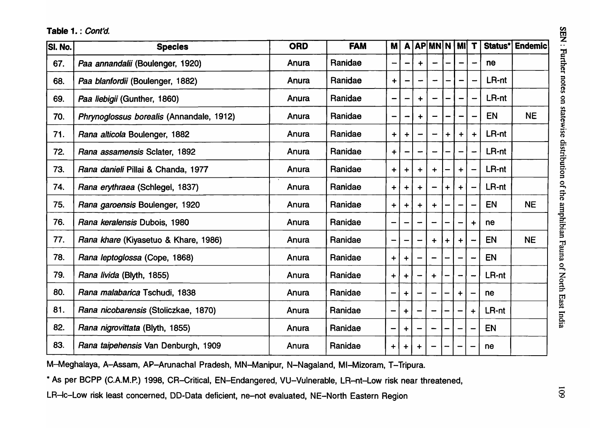| <b>SI. No.</b> | <b>Species</b>                           | <b>ORD</b> | <b>FAM</b> | <b>M</b>                     |             |             | A APMNN MI                   |                      |                              | $\mathbf T$                  |           | Status* Endemic |
|----------------|------------------------------------------|------------|------------|------------------------------|-------------|-------------|------------------------------|----------------------|------------------------------|------------------------------|-----------|-----------------|
| 67.            | Paa annandalii (Boulenger, 1920)         | Anura      | Ranidae    |                              |             | $\ddot{+}$  |                              |                      |                              |                              | ne        |                 |
| 68.            | Paa blanfordii (Boulenger, 1882)         | Anura      | Ranidae    | $\ddot{\phantom{1}}$         |             |             |                              |                      |                              | $\rightarrow$                | LR-nt     |                 |
| 69.            | Paa liebigii (Gunther, 1860)             | Anura      | Ranidae    | $\qquad \qquad$              |             | $\ddot{}$   |                              |                      |                              | $\rightarrow$                | LR-nt     |                 |
| 70.            | Phrynoglossus borealis (Annandale, 1912) | Anura      | Ranidae    | $\overline{\phantom{0}}$     |             | $\ddotmark$ |                              |                      | $\qquad \qquad \blacksquare$ | $\overline{\phantom{0}}$     | <b>EN</b> | <b>NE</b>       |
| 71.            | Rana alticola Boulenger, 1882            | Anura      | Ranidae    | $\ddot{\phantom{1}}$         | $\ddot{}$   |             |                              | $+$                  | $\ddot{}$                    | $\ddot{}$                    | LR-nt     |                 |
| 72.            | Rana assamensis Sclater, 1892            | Anura      | Ranidae    | $\ddot{+}$                   |             |             |                              |                      |                              | $\overline{\phantom{0}}$     | LR-nt     |                 |
| 73.            | Rana danieli Pillai & Chanda, 1977       | Anura      | Ranidae    | $\ddot{}$                    | $\ddag$     | $\ddot{}$   | $\div$                       |                      | $\ddot{}$                    | $\qquad \qquad \blacksquare$ | LR-nt     |                 |
| 74.            | Rana erythraea (Schlegel, 1837)          | Anura      | Ranidae    | $\ddot{}$                    | $\ddag$     | $\div$      |                              | $\ddot{}$            | $\ddot{}$                    | $\overline{\phantom{0}}$     | LR-nt     |                 |
| 75.            | Rana garoensis Boulenger, 1920           | Anura      | Ranidae    | $+$                          | $\ddot{}$   | $\ddot{}$   | $\ddot{}$                    |                      | -                            | $\qquad \qquad$              | <b>EN</b> | <b>NE</b>       |
| 76.            | Rana keralensis Dubois, 1980             | Anura      | Ranidae    | $\qquad \qquad \blacksquare$ | —           |             |                              |                      | $\qquad \qquad \blacksquare$ | $\ddot{\phantom{1}}$         | ne        |                 |
| 77.            | Rana khare (Kiyasetuo & Khare, 1986)     | Anura      | Ranidae    | $\qquad \qquad$              | -           |             | $\ddotmark$                  | $\ddot{\phantom{1}}$ | $\ddot{}$                    | $\rightarrow$                | <b>EN</b> | <b>NE</b>       |
| 78.            | Rana leptoglossa (Cope, 1868)            | Anura      | Ranidae    | $+$                          | $\ddot{}$   |             |                              |                      |                              |                              | EN        |                 |
| 79.            | Rana livida (Blyth, 1855)                | Anura      | Ranidae    | $+$                          | $\ddot{}$   |             | $\ddot{}$                    |                      | $\rightarrow$                |                              | LR-nt     |                 |
| 80.            | Rana malabarica Tschudi, 1838            | Anura      | Ranidae    | $\qquad \qquad \blacksquare$ | $\ddag$     |             |                              |                      | $\ddot{}$                    |                              | ne        |                 |
| 81.            | Rana nicobarensis (Stoliczkae, 1870)     | Anura      | Ranidae    | —                            | $\ddotmark$ |             |                              |                      | $\overline{\phantom{m}}$     | $\ddot{\phantom{1}}$         | LR-nt     |                 |
| 82.            | Rana nigrovittata (Blyth, 1855)          | Anura      | Ranidae    | $\qquad \qquad \blacksquare$ | $\ddag$     |             | $\hspace{0.05cm}$            |                      |                              |                              | <b>EN</b> |                 |
| 83.            | Rana taipehensis Van Denburgh, 1909      | Anura      | Ranidae    | $\ddot{}$                    | $\ddot{}$   | $\ddot{}$   | $\qquad \qquad \blacksquare$ |                      |                              |                              | ne        |                 |

M-Meghalaya, A-Assam, AP-Arunachal Pradesh, MN-Manipur, N-Nagaland, MI-Mizoram, T-Tripura.

\* As per BCPP (C.A.M.P.) 1998, CR-Critical, EN-Endangered, VU-Vulnerable, LR-nt-Low risk near threatened,

LR-Ic-Low risk least concerned, DO-Data deficient, ne-not evaluated, NE-North Eastern Region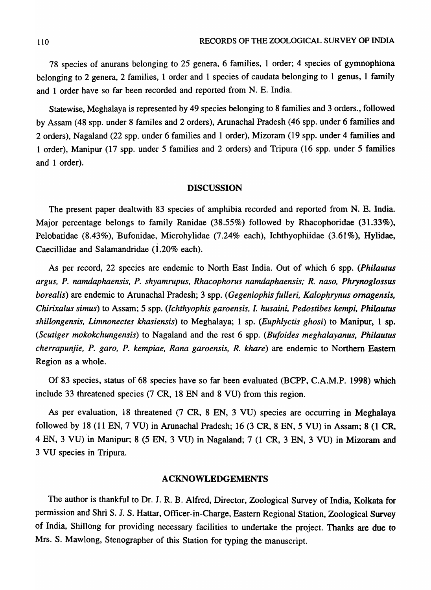78 species of anurans belonging to 25 genera, 6 families, 1 order; 4 species of gymnophiona belonging to 2 genera, 2 families, 1 order and 1 species of caudata belonging to 1 genus, 1 family and 1 order have so far been recorded and reported from N. E. India.

Statewise, Meghalaya is represented by 49 species belonging to 8 families and 3 orders., followed by Assam (48 spp. under 8 familes and 2 orders), Arunachal Pradesh (46 spp. under 6 families and 2 orders), Nagaland (22 spp. under 6 families and 1 order), Mizoram (19 spp. under 4 families and 1 order), Manipur (17 spp. under 5 families and 2 orders) and Tripura (16 spp. under 5 families and 1 order).

#### DISCUSSION

The present paper dealtwith 83 species of amphibia recorded and reported from N. E. India. Major percentage belongs to family Ranidae (38.55%) followed by Rhacophoridae (31.33%), Pelobatidae (8.43%), Bufonidae, Microhylidae (7.24% each), Ichthyophiidae (3.61%), Hylidae, Caecillidae and Salamandridae (1.20% each).

As per record, 22 species are endemic to North East India. Out of which 6 spp. *(Philautus argus, P. namdaphaensis, P. shyamrupus, Rhacophorus namdaphaensis; R. naso, Phrynoglossus borealis*) are endemic to Arunachal Pradesh; 3 spp. *(Gegeniophis fulleri, Kalophrynus ornagensis, Chirixalus simus)* to Assam; 5 spp. *(Ichthyophis garoensis,* I. *husaini, Pedostibes kempi, Philautus shillongensis, Limnonectes khasiensis)* to Meghalaya; 1 sp. *(Euphlyctis ghosi)* to Manipur, 1 sp. *(Scutiger mokokchungensis)* to Nagaland and the rest 6 spp. *(Bufoides meghalayanus, Philautus cherrapunjie, P. garo, P. kempiae, Rana garoensis, R. khare)* are endemic to Northern Eastern Region as a whole.

Of 83 species, status of 68 species have so far been evaluated (BCPP, C.A.M.P. 1998) which include 33 threatened species (7 CR, 18 EN and 8 VU) from this region.

As per evaluation, 18 threatened (7 CR, 8 EN, 3 VU) species are occurring in Meghalaya followed by 18 (11 EN, 7 VU) in Arunachal Pradesh; 16 (3 CR, 8 EN, 5 VU) in Assam; 8 (1 CR, 4 EN, 3 VU) in Manipur; 8 (5 EN, 3 VU) in Nagaland; 7 (1 CR, 3 EN, 3 VU) in Mizoram and 3 VU species in Tripura.

#### ACKNOWLEDGEMENTS

The author is thankful to Dr. J. R. B. Alfred, Director, Zoological Survey of India, Kolkata for permission and Shri S. J. S. Hattar, Officer-in-Charge, Eastern Regional Station, Zoological Survey of India, Shillong for providing necessary facilities to undertake the project. Thanks are due to Mrs. S. Mawlong, Stenographer of this Station for typing the manuscript.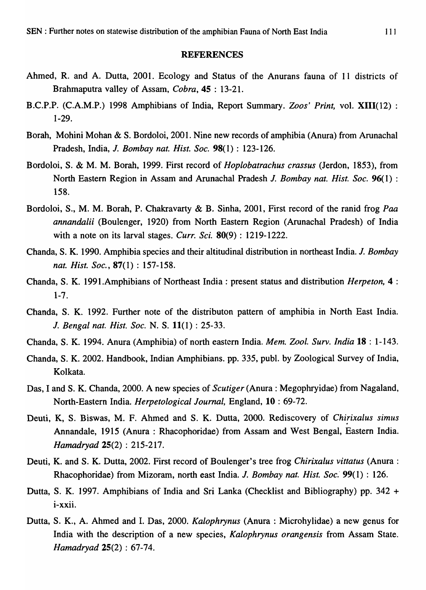### **REFERENCES**

- Ahmed, R. and A. Dutta, 2001. Ecology and Status of the Anurans fauna of 11 districts of Brahmaputra valley of Assam, *Cobra,* 45 : 13-21.
- B.C.P.P. (C.A.M.P.) 1998 Amphibians of India, Report Summary. *Zoos' Print,* vol. XIII(12) : 1-29.
- Borah, Mohini Mohan & S. Bordoloi, 2001. Nine new records of amphibia (Anura) from Arunachal Pradesh, India, J. *Bombay nat. Hist. Soc.* 98(1) : 123-126.
- Bordoloi, S. & M. M. Borah, 1999. First record of *Hoplobatrachus crassus* (Jerdon, 1853), from North Eastern Region in Assam and Arunachal Pradesh *J. Bombay nat. Hist. Soc.* 96(1) : 158.
- Bordoloi, S., M. M. Borah, P. Chakravarty & B. Sinha, 2001, First record of the ranid frog Paa *annandalii* (Boulenger, 1920) from North Eastern Region (Arunachal Pradesh) of India with a note on its larval stages. *Curr. Sci.* **80(9)**: 1219-1222.
- Chanda, S. K. 1990. Amphibia species and their altitudinal distribution in northeast India. *J. Bombay nat. Hist. Soc.,* 87(1) : 157-158.
- Chanda, S. K. 1991.Amphibians of Northeast India: present status and distribution *Herpeton,* 4 : 1-7.
- Chanda, S. K. 1992. Further note of the distributon pattern of amphibia in North East India. J. *Bengal nat. Hist. Soc.* N. S. 11(1) : 25-33.
- Chanda, S. K. 1994. Anura (Amphibia) of north eastern India. *Mem. Zoo* I. *Surv. India* 18 : 1-143.
- Chanda, S. K. 2002. Handbook, Indian Amphibians. pp. 335, publ. by Zoological Survey of India, Kolkata.
- Das, I and S. K. Chanda, 2000. A new species of *Scutiger* (Anura: Megophryidae) from Nagaland, North-Eastern India. *Herpetological Journal,* England, 10 : 69-72.
- Deuti, K, S. Biswas, M. F. Ahmed and S. K. Dutta, 2000. Rediscovery of *Chirixalus simus* Annandale, 1915 (Anura : Rhacophoridae) from Assam and West Bengal, Eastern India. *Hamadryad* 25(2) : 215-217.
- Deuti, K. and S. K. Dutta, 2002. First record of Boulenger's tree frog *Chirixalus vittatus* (Anura: Rhacophoridae) from Mizoram, north east India. *J. Bombay nat. Hist. Soc.* 99(1): 126.
- Dutta, S. K. 1997. Amphibians of India and Sri Lanka (Checklist and Bibliography) pp. 342 + l-XXll.
- Dutta, S. K., A. Ahmed and I. Das, 2000. *Kalophrynus* (Anura: Microhylidae) a new genus for India with the description of a new species, *Kalophrynus orangensis* from Assam State. *Hamadryad* 25(2) : 67-74.